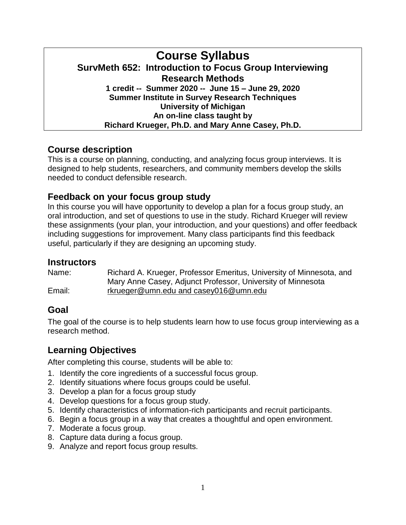## **Course Syllabus SurvMeth 652: Introduction to Focus Group Interviewing Research Methods 1 credit -- Summer 2020 -- June 15 – June 29, 2020 Summer Institute in Survey Research Techniques University of Michigan An on-line class taught by Richard Krueger, Ph.D. and Mary Anne Casey, Ph.D.**

# **Course description**

This is a course on planning, conducting, and analyzing focus group interviews. It is designed to help students, researchers, and community members develop the skills needed to conduct defensible research.

## **Feedback on your focus group study**

In this course you will have opportunity to develop a plan for a focus group study, an oral introduction, and set of questions to use in the study. Richard Krueger will review these assignments (your plan, your introduction, and your questions) and offer feedback including suggestions for improvement. Many class participants find this feedback useful, particularly if they are designing an upcoming study.

## **Instructors**

Name: Richard A. Krueger, Professor Emeritus, University of Minnesota, and Mary Anne Casey, Adjunct Professor, University of Minnesota Email: [rkrueger@umn.edu](mailto:rkrueger@umn.edu) and casey016@umn.edu

# **Goal**

The goal of the course is to help students learn how to use focus group interviewing as a research method.

# **Learning Objectives**

After completing this course, students will be able to:

- 1. Identify the core ingredients of a successful focus group.
- 2. Identify situations where focus groups could be useful.
- 3. Develop a plan for a focus group study
- 4. Develop questions for a focus group study.
- 5. Identify characteristics of information-rich participants and recruit participants.
- 6. Begin a focus group in a way that creates a thoughtful and open environment.
- 7. Moderate a focus group.
- 8. Capture data during a focus group.
- 9. Analyze and report focus group results.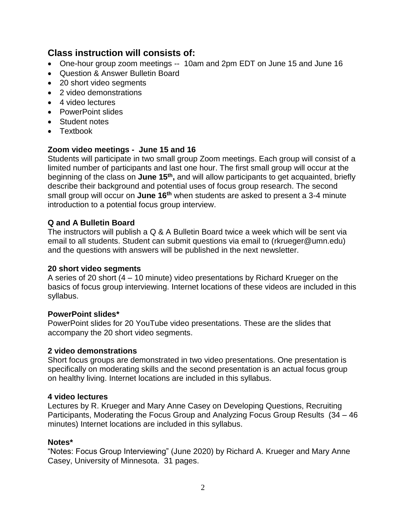## **Class instruction will consists of:**

- One-hour group zoom meetings -- 10am and 2pm EDT on June 15 and June 16
- Question & Answer Bulletin Board
- 20 short video segments
- 2 video demonstrations
- 4 video lectures
- PowerPoint slides
- Student notes
- Textbook

### **Zoom video meetings - June 15 and 16**

Students will participate in two small group Zoom meetings. Each group will consist of a limited number of participants and last one hour. The first small group will occur at the beginning of the class on **June 15th ,** and will allow participants to get acquainted, briefly describe their background and potential uses of focus group research. The second small group will occur on **June 16th** when students are asked to present a 3-4 minute introduction to a potential focus group interview.

### **Q and A Bulletin Board**

The instructors will publish a Q & A Bulletin Board twice a week which will be sent via email to all students. Student can submit questions via email to [\(rkrueger@umn.edu\)](mailto:rkrueger@umn.edu) and the questions with answers will be published in the next newsletter.

### **20 short video segments**

A series of 20 short (4 – 10 minute) video presentations by Richard Krueger on the basics of focus group interviewing. Internet locations of these videos are included in this syllabus.

### **PowerPoint slides\***

PowerPoint slides for 20 YouTube video presentations. These are the slides that accompany the 20 short video segments.

### **2 video demonstrations**

Short focus groups are demonstrated in two video presentations. One presentation is specifically on moderating skills and the second presentation is an actual focus group on healthy living. Internet locations are included in this syllabus.

### **4 video lectures**

Lectures by R. Krueger and Mary Anne Casey on Developing Questions, Recruiting Participants, Moderating the Focus Group and Analyzing Focus Group Results (34 – 46 minutes) Internet locations are included in this syllabus.

### **Notes\***

"Notes: Focus Group Interviewing" (June 2020) by Richard A. Krueger and Mary Anne Casey, University of Minnesota. 31 pages.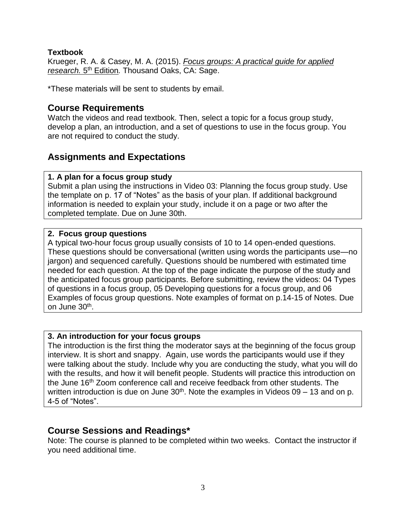### **Textbook**

Krueger, R. A. & Casey, M. A. (2015). *Focus groups: A practical guide for applied research.* 5 th Edition*.* Thousand Oaks, CA: Sage.

\*These materials will be sent to students by email.

## **Course Requirements**

Watch the videos and read textbook. Then, select a topic for a focus group study, develop a plan, an introduction, and a set of questions to use in the focus group. You are not required to conduct the study.

# **Assignments and Expectations**

## **1. A plan for a focus group study**

Submit a plan using the instructions in Video 03: Planning the focus group study. Use the template on p. 17 of "Notes" as the basis of your plan. If additional background information is needed to explain your study, include it on a page or two after the completed template. Due on June 30th.

### **2. Focus group questions**

A typical two-hour focus group usually consists of 10 to 14 open-ended questions. These questions should be conversational (written using words the participants use—no jargon) and sequenced carefully. Questions should be numbered with estimated time needed for each question. At the top of the page indicate the purpose of the study and the anticipated focus group participants. Before submitting, review the videos: 04 Types of questions in a focus group, 05 Developing questions for a focus group, and 06 Examples of focus group questions. Note examples of format on p.14-15 of Notes. Due on June 30<sup>th</sup>.

### **3. An introduction for your focus groups**

The introduction is the first thing the moderator says at the beginning of the focus group interview. It is short and snappy. Again, use words the participants would use if they were talking about the study. Include why you are conducting the study, what you will do with the results, and how it will benefit people. Students will practice this introduction on the June 16<sup>th</sup> Zoom conference call and receive feedback from other students. The written introduction is due on June  $30<sup>th</sup>$ . Note the examples in Videos 09 – 13 and on p. 4-5 of "Notes".

# **Course Sessions and Readings\***

Note: The course is planned to be completed within two weeks. Contact the instructor if you need additional time.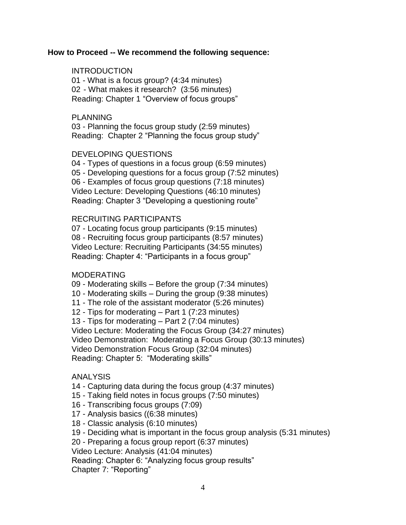#### **How to Proceed -- We recommend the following sequence:**

### **INTRODUCTION**

01 - What is a focus group? (4:34 minutes) 02 - What makes it research? (3:56 minutes) Reading: Chapter 1 "Overview of focus groups"

#### PLANNING

03 - Planning the focus group study (2:59 minutes) Reading: Chapter 2 "Planning the focus group study"

### DEVELOPING QUESTIONS

04 - Types of questions in a focus group (6:59 minutes) 05 - Developing questions for a focus group (7:52 minutes) 06 - Examples of focus group questions (7:18 minutes) Video Lecture: Developing Questions (46:10 minutes) Reading: Chapter 3 "Developing a questioning route"

#### RECRUITING PARTICIPANTS

07 - Locating focus group participants (9:15 minutes) 08 - Recruiting focus group participants (8:57 minutes) Video Lecture: Recruiting Participants (34:55 minutes) Reading: Chapter 4: "Participants in a focus group"

### MODERATING

09 - Moderating skills – Before the group (7:34 minutes)

- 10 Moderating skills During the group (9:38 minutes)
- 11 The role of the assistant moderator (5:26 minutes)
- 12 Tips for moderating Part 1 (7:23 minutes)

13 - Tips for moderating – Part 2 (7:04 minutes)

Video Lecture: Moderating the Focus Group (34:27 minutes)

Video Demonstration: Moderating a Focus Group (30:13 minutes)

Video Demonstration Focus Group (32:04 minutes)

Reading: Chapter 5: "Moderating skills"

### ANALYSIS

14 - Capturing data during the focus group (4:37 minutes)

- 15 Taking field notes in focus groups (7:50 minutes)
- 16 Transcribing focus groups (7:09)
- 17 Analysis basics ((6:38 minutes)
- 18 Classic analysis (6:10 minutes)
- 19 Deciding what is important in the focus group analysis (5:31 minutes)

20 - Preparing a focus group report (6:37 minutes)

Video Lecture: Analysis (41:04 minutes)

Reading: Chapter 6: "Analyzing focus group results"

Chapter 7: "Reporting"